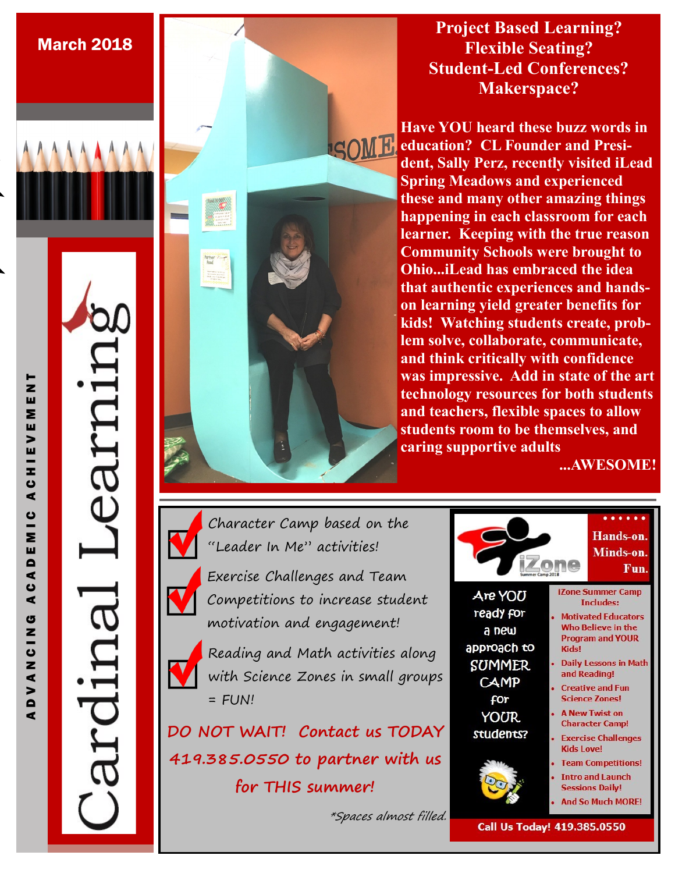**Project Based Learning? Flexible Seating? Student-Led Conferences? Makerspace?**

**Have YOU heard these buzz words in ISOME. education? CL Founder and President, Sally Perz, recently visited iLead Spring Meadows and experienced these and many other amazing things happening in each classroom for each learner. Keeping with the true reason Community Schools were brought to Ohio...iLead has embraced the idea that authentic experiences and handson learning yield greater benefits for kids! Watching students create, problem solve, collaborate, communicate, and think critically with confidence was impressive. Add in state of the art technology resources for both students and teachers, flexible spaces to allow students room to be themselves, and caring supportive adults** 

**...AWESOME!**



Character Camp based on the



"Leader In Me" activities!

Exercise Challenges and Team Competitions to increase student motivation and engagement!



Reading and Math activities along with Science Zones in small groups  $=$  FUN!

**DO NOT WAIT! Contact us TODAY 419.385.0550 to partner with us for THIS summer!** 

\*Spaces almost filled.

arnii

March 2018